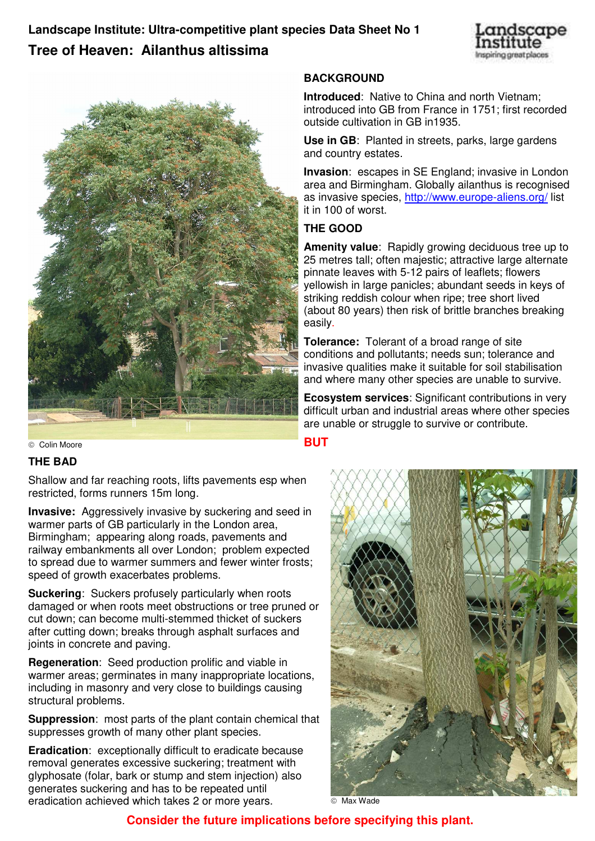**Landscape Institute: Ultra-competitive plant species Data Sheet No 1 Tree of Heaven: Ailanthus altissima**





Colin Moore

# **THE BAD**

Shallow and far reaching roots, lifts pavements esp when restricted, forms runners 15m long.

**Invasive:** Aggressively invasive by suckering and seed in warmer parts of GB particularly in the London area, Birmingham; appearing along roads, pavements and railway embankments all over London; problem expected to spread due to warmer summers and fewer winter frosts; speed of growth exacerbates problems.

**Suckering**: Suckers profusely particularly when roots damaged or when roots meet obstructions or tree pruned or cut down; can become multi-stemmed thicket of suckers after cutting down; breaks through asphalt surfaces and joints in concrete and paving.

**Regeneration**: Seed production prolific and viable in warmer areas; germinates in many inappropriate locations, including in masonry and very close to buildings causing structural problems.

**Suppression**: most parts of the plant contain chemical that suppresses growth of many other plant species.

**Eradication**: exceptionally difficult to eradicate because removal generates excessive suckering; treatment with glyphosate (folar, bark or stump and stem injection) also generates suckering and has to be repeated until eradication achieved which takes 2 or more years.  $\overline{\circ}$  Max Wade

## **BACKGROUND**

**Introduced**: Native to China and north Vietnam; introduced into GB from France in 1751; first recorded outside cultivation in GB in1935.

**Use in GB**: Planted in streets, parks, large gardens and country estates.

**Invasion**: escapes in SE England; invasive in London area and Birmingham. Globally ailanthus is recognised as invasive species, http://www.europe-aliens.org/ list it in 100 of worst.

# **THE GOOD**

**Amenity value**: Rapidly growing deciduous tree up to 25 metres tall; often majestic; attractive large alternate pinnate leaves with 5-12 pairs of leaflets; flowers yellowish in large panicles; abundant seeds in keys of striking reddish colour when ripe; tree short lived (about 80 years) then risk of brittle branches breaking easily.

**Tolerance:** Tolerant of a broad range of site conditions and pollutants; needs sun; tolerance and invasive qualities make it suitable for soil stabilisation and where many other species are unable to survive.

**Ecosystem services**: Significant contributions in very difficult urban and industrial areas where other species are unable or struggle to survive or contribute.

# **BUT**



# **Consider the future implications before specifying this plant.**